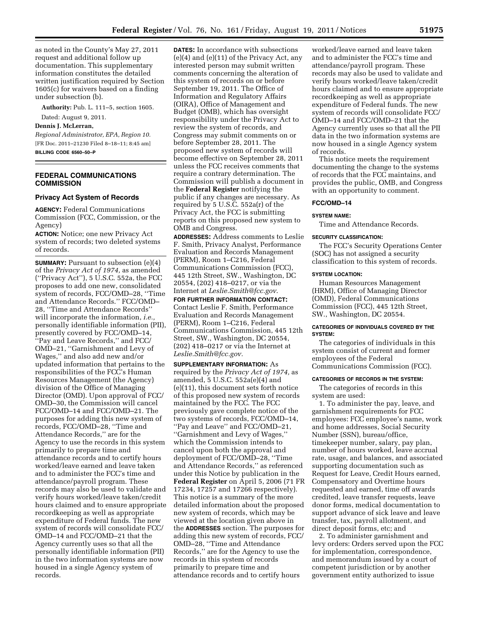as noted in the County's May 27, 2011 request and additional follow up documentation. This supplementary information constitutes the detailed written justification required by Section 1605(c) for waivers based on a finding under subsection (b).

**Authority:** Pub. L. 111–5, section 1605.

Dated: August 9, 2011.

# **Dennis J. McLerran,**

*Regional Administrator, EPA, Region 10.*  [FR Doc. 2011–21230 Filed 8–18–11; 8:45 am] **BILLING CODE 6560–50–P** 

# **FEDERAL COMMUNICATIONS COMMISSION**

## **Privacy Act System of Records**

**AGENCY:** Federal Communications Commission (FCC, Commission, or the Agency)

**ACTION:** Notice; one new Privacy Act system of records; two deleted systems of records.

**SUMMARY:** Pursuant to subsection (e)(4) of the *Privacy Act of 1974,* as amended (''Privacy Act''), 5 U.S.C. 552a, the FCC proposes to add one new, consolidated system of records, FCC/OMD–28, ''Time and Attendance Records.'' FCC/OMD– 28, ''Time and Attendance Records'' will incorporate the information, *i.e.,*  personally identifiable information (PII), presently covered by FCC/OMD–14, ''Pay and Leave Records,'' and FCC/ OMD–21, ''Garnishment and Levy of Wages,'' and also add new and/or updated information that pertains to the responsibilities of the FCC's Human Resources Management (the Agency) division of the Office of Managing Director (OMD). Upon approval of FCC/ OMD–30, the Commission will cancel FCC/OMD–14 and FCC/OMD–21. The purposes for adding this new system of records, FCC/OMD–28, ''Time and Attendance Records,'' are for the Agency to use the records in this system primarily to prepare time and attendance records and to certify hours worked/leave earned and leave taken and to administer the FCC's time and attendance/payroll program. These records may also be used to validate and verify hours worked/leave taken/credit hours claimed and to ensure appropriate recordkeeping as well as appropriate expenditure of Federal funds. The new system of records will consolidate FCC/ OMD–14 and FCC/OMD–21 that the Agency currently uses so that all the personally identifiable information (PII) in the two information systems are now housed in a single Agency system of records.

**DATES:** In accordance with subsections (e)(4) and (e)(11) of the Privacy Act, any interested person may submit written comments concerning the alteration of this system of records on or before September 19, 2011. The Office of Information and Regulatory Affairs (OIRA), Office of Management and Budget (OMB), which has oversight responsibility under the Privacy Act to review the system of records, and Congress may submit comments on or before September 28, 2011. The proposed new system of records will become effective on September 28, 2011 unless the FCC receives comments that require a contrary determination. The Commission will publish a document in the **Federal Register** notifying the public if any changes are necessary. As required by 5 U.S.C. 552a(r) of the Privacy Act, the FCC is submitting reports on this proposed new system to OMB and Congress.

**ADDRESSES:** Address comments to Leslie F. Smith, Privacy Analyst, Performance Evaluation and Records Management (PERM), Room 1–C216, Federal Communications Commission (FCC), 445 12th Street, SW., Washington, DC 20554, (202) 418–0217, or via the Internet at *Leslie.Smith@fcc.gov*.

**FOR FURTHER INFORMATION CONTACT:**  Contact Leslie F. Smith, Performance Evaluation and Records Management (PERM), Room 1–C216, Federal Communications Commission, 445 12th Street, SW., Washington, DC 20554, (202) 418–0217 or via the Internet at *Leslie.Smith@fcc.gov.* 

**SUPPLEMENTARY INFORMATION:** As required by the *Privacy Act of 1974,* as amended, 5 U.S.C. 552a(e)(4) and (e)(11), this document sets forth notice of this proposed new system of records maintained by the FCC. The FCC previously gave complete notice of the two systems of records, FCC/OMD–14, ''Pay and Leave'' and FCC/OMD–21, ''Garnishment and Levy of Wages,'' which the Commission intends to cancel upon both the approval and deployment of FCC/OMD–28, ''Time and Attendance Records,'' as referenced under this Notice by publication in the **Federal Register** on April 5, 2006 (71 FR 17234, 17257 and 17266 respectively). This notice is a summary of the more detailed information about the proposed new system of records, which may be viewed at the location given above in the **ADDRESSES** section. The purposes for adding this new system of records, FCC/ OMD–28, ''Time and Attendance Records,'' are for the Agency to use the records in this system of records primarily to prepare time and attendance records and to certify hours

worked/leave earned and leave taken and to administer the FCC's time and attendance/payroll program. These records may also be used to validate and verify hours worked/leave taken/credit hours claimed and to ensure appropriate recordkeeping as well as appropriate expenditure of Federal funds. The new system of records will consolidate FCC/ OMD–14 and FCC/OMD–21 that the Agency currently uses so that all the PII data in the two information systems are now housed in a single Agency system of records.

This notice meets the requirement documenting the change to the systems of records that the FCC maintains, and provides the public, OMB, and Congress with an opportunity to comment.

#### **FCC/OMD–14**

#### **SYSTEM NAME:**

Time and Attendance Records.

## **SECURITY CLASSIFICATION:**

The FCC's Security Operations Center (SOC) has not assigned a security classification to this system of records.

# **SYSTEM LOCATION:**

Human Resources Management (HRM), Office of Managing Director (OMD), Federal Communications Commission (FCC), 445 12th Street, SW., Washington, DC 20554.

# **CATEGORIES OF INDIVIDUALS COVERED BY THE SYSTEM:**

The categories of individuals in this system consist of current and former employees of the Federal Communications Commission (FCC).

#### **CATEGORIES OF RECORDS IN THE SYSTEM:**

The categories of records in this system are used:

1. To administer the pay, leave, and garnishment requirements for FCC employees: FCC employee's name, work and home addresses, Social Security Number (SSN), bureau/office, timekeeper number, salary, pay plan, number of hours worked, leave accrual rate, usage, and balances, and associated supporting documentation such as Request for Leave, Credit Hours earned, Compensatory and Overtime hours requested and earned, time off awards credited, leave transfer requests, leave donor forms, medical documentation to support advance of sick leave and leave transfer, tax, payroll allotment, and direct deposit forms, etc; and

2. To administer garnishment and levy orders: Orders served upon the FCC for implementation, correspondence, and memorandum issued by a court of competent jurisdiction or by another government entity authorized to issue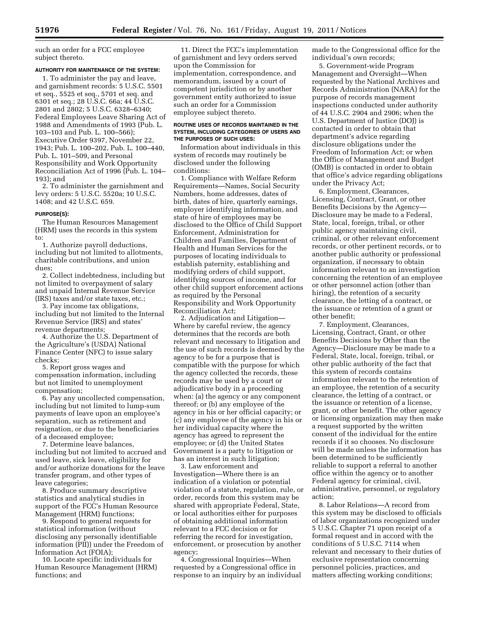such an order for a FCC employee subject thereto.

## **AUTHORITY FOR MAINTENANCE OF THE SYSTEM:**

1. To administer the pay and leave, and garnishment records: 5 U.S.C. 5501 et seq., 5525 et seq., 5701 et seq. and 6301 et seq.; 28 U.S.C. 66a; 44 U.S.C. 2801 and 2802; 5 U.S.C. 6328–6340; Federal Employees Leave Sharing Act of 1988 and Amendments of 1993 (Pub. L. 103–103 and Pub. L. 100–566); Executive Order 9397, November 22, 1943; Pub. L. 100–202, Pub. L. 100–440, Pub. L. 101–509, and Personal Responsibility and Work Opportunity Reconciliation Act of 1996 (Pub. L. 104– 193); and

2. To administer the garnishment and levy orders: 5 U.S.C. 5520a; 10 U.S.C. 1408; and 42 U.S.C. 659.

#### **PURPOSE(S):**

The Human Resources Management (HRM) uses the records in this system to:

1. Authorize payroll deductions, including but not limited to allotments, charitable contributions, and union dues;

2. Collect indebtedness, including but not limited to overpayment of salary and unpaid Internal Revenue Service (IRS) taxes and/or state taxes, etc.;

3. Pay income tax obligations, including but not limited to the Internal Revenue Service (IRS) and states' revenue departments;

4. Authorize the U.S. Department of the Agriculture's (USDA) National Finance Center (NFC) to issue salary checks;

5. Report gross wages and compensation information, including but not limited to unemployment compensation;

6. Pay any uncollected compensation, including but not limited to lump-sum payments of leave upon an employee's separation, such as retirement and resignation, or due to the beneficiaries of a deceased employee;

7. Determine leave balances, including but not limited to accrued and used leave, sick leave, eligibility for and/or authorize donations for the leave transfer program, and other types of leave categories;

8. Produce summary descriptive statistics and analytical studies in support of the FCC's Human Resource Management (HRM) functions;

9. Respond to general requests for statistical information (without disclosing any personally identifiable information (PII)) under the Freedom of Information Act (FOIA);

10. Locate specific individuals for Human Resource Management (HRM) functions; and

11. Direct the FCC's implementation of garnishment and levy orders served upon the Commission for implementation, correspondence, and memorandum, issued by a court of competent jurisdiction or by another government entity authorized to issue such an order for a Commission employee subject thereto.

#### **ROUTINE USES OF RECORDS MAINTAINED IN THE SYSTEM, INCLUDING CATEGORIES OF USERS AND THE PURPOSES OF SUCH USES:**

Information about individuals in this system of records may routinely be disclosed under the following conditions:

1. Compliance with Welfare Reform Requirements—Names, Social Security Numbers, home addresses, dates of birth, dates of hire, quarterly earnings, employer identifying information, and state of hire of employees may be disclosed to the Office of Child Support Enforcement, Administration for Children and Families, Department of Health and Human Services for the purposes of locating individuals to establish paternity, establishing and modifying orders of child support, identifying sources of income, and for other child support enforcement actions as required by the Personal Responsibility and Work Opportunity Reconciliation Act;

2. Adjudication and Litigation— Where by careful review, the agency determines that the records are both relevant and necessary to litigation and the use of such records is deemed by the agency to be for a purpose that is compatible with the purpose for which the agency collected the records, these records may be used by a court or adjudicative body in a proceeding when: (a) the agency or any component thereof; or (b) any employee of the agency in his or her official capacity; or (c) any employee of the agency in his or her individual capacity where the agency has agreed to represent the employee; or (d) the United States Government is a party to litigation or has an interest in such litigation;

3. Law enforcement and Investigation—Where there is an indication of a violation or potential violation of a statute, regulation, rule, or order, records from this system may be shared with appropriate Federal, State, or local authorities either for purposes of obtaining additional information relevant to a FCC decision or for referring the record for investigation, enforcement, or prosecution by another agency;

4. Congressional Inquiries—When requested by a Congressional office in response to an inquiry by an individual made to the Congressional office for the individual's own records;

5. Government-wide Program Management and Oversight—When requested by the National Archives and Records Administration (NARA) for the purpose of records management inspections conducted under authority of 44 U.S.C. 2904 and 2906; when the U.S. Department of Justice (DOJ) is contacted in order to obtain that department's advice regarding disclosure obligations under the Freedom of Information Act; or when the Office of Management and Budget (OMB) is contacted in order to obtain that office's advice regarding obligations under the Privacy Act;

6. Employment, Clearances, Licensing, Contract, Grant, or other Benefits Decisions by the Agency— Disclosure may be made to a Federal, State, local, foreign, tribal, or other public agency maintaining civil, criminal, or other relevant enforcement records, or other pertinent records, or to another public authority or professional organization, if necessary to obtain information relevant to an investigation concerning the retention of an employee or other personnel action (other than hiring), the retention of a security clearance, the letting of a contract, or the issuance or retention of a grant or other benefit;

7. Employment, Clearances, Licensing, Contract, Grant, or other Benefits Decisions by Other than the Agency—Disclosure may be made to a Federal, State, local, foreign, tribal, or other public authority of the fact that this system of records contains information relevant to the retention of an employee, the retention of a security clearance, the letting of a contract, or the issuance or retention of a license, grant, or other benefit. The other agency or licensing organization may then make a request supported by the written consent of the individual for the entire records if it so chooses. No disclosure will be made unless the information has been determined to be sufficiently reliable to support a referral to another office within the agency or to another Federal agency for criminal, civil, administrative, personnel, or regulatory action;

8. Labor Relations—A record from this system may be disclosed to officials of labor organizations recognized under 5 U.S.C. Chapter 71 upon receipt of a formal request and in accord with the conditions of 5 U.S.C. 7114 when relevant and necessary to their duties of exclusive representation concerning personnel policies, practices, and matters affecting working conditions;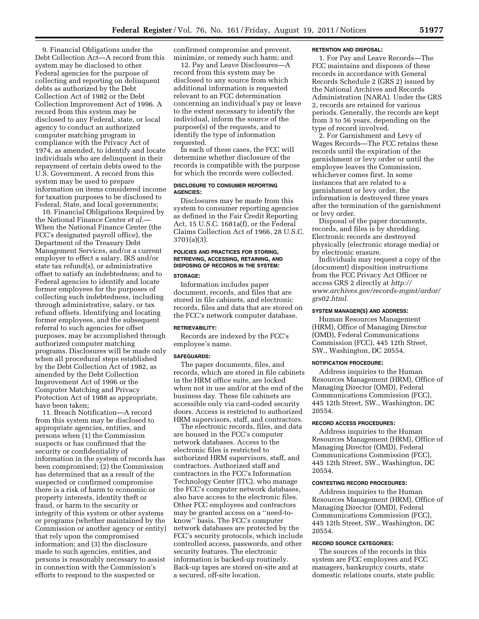9. Financial Obligations under the Debt Collection Act—A record from this system may be disclosed to other Federal agencies for the purpose of collecting and reporting on delinquent debts as authorized by the Debt Collection Act of 1982 or the Debt Collection Improvement Act of 1996. A record from this system may be disclosed to any Federal, state, or local agency to conduct an authorized computer matching program in compliance with the Privacy Act of 1974, as amended, to identify and locate individuals who are delinquent in their repayment of certain debts owed to the U.S. Government. A record from this system may be used to prepare information on items considered income for taxation purposes to be disclosed to Federal, State, and local governments;

10. Financial Obligations Required by the National Finance Center *et al.*— When the National Finance Center (the FCC's designated payroll office), the Department of the Treasury Debt Management Services, and/or a current employer to effect a salary, IRS and/or state tax refund(s), or administrative offset to satisfy an indebtedness; and to Federal agencies to identify and locate former employees for the purposes of collecting such indebtedness, including through administrative, salary, or tax refund offsets. Identifying and locating former employees, and the subsequent referral to such agencies for offset purposes, may be accomplished through authorized computer matching programs. Disclosures will be made only when all procedural steps established by the Debt Collection Act of 1982, as amended by the Debt Collection Improvement Act of 1996 or the Computer Matching and Privacy Protection Act of 1988 as appropriate, have been taken;

11. Breach Notification—A record from this system may be disclosed to appropriate agencies, entities, and persons when (1) the Commission suspects or has confirmed that the security or confidentiality of information in the system of records has been compromised; (2) the Commission has determined that as a result of the suspected or confirmed compromise there is a risk of harm to economic or property interests, identity theft or fraud, or harm to the security or integrity of this system or other systems or programs (whether maintained by the Commission or another agency or entity) that rely upon the compromised information; and (3) the disclosure made to such agencies, entities, and persons is reasonably necessary to assist in connection with the Commission's efforts to respond to the suspected or

confirmed compromise and prevent, minimize, or remedy such harm; and

12. Pay and Leave Disclosures—A record from this system may be disclosed to any source from which additional information is requested relevant to an FCC determination concerning an individual's pay or leave to the extent necessary to identify the individual, inform the source of the purpose(s) of the requests, and to identify the type of information requested.

In each of these cases, the FCC will determine whether disclosure of the records is compatible with the purpose for which the records were collected.

## **DISCLOSURE TO CONSUMER REPORTING AGENCIES:**

Disclosures may be made from this system to consumer reporting agencies as defined in the Fair Credit Reporting Act, 15 U.S.C. 1681a(f), or the Federal Claims Collection Act of 1966, 28 U.S.C. 3701(a)(3).

# **POLICIES AND PRACTICES FOR STORING, RETRIEVING, ACCESSING, RETAINING, AND DISPOSING OF RECORDS IN THE SYSTEM:**

# **STORAGE:**

Information includes paper document, records, and files that are stored in file cabinets, and electronic records, files and data that are stored on the FCC's network computer database.

#### **RETRIEVABILITY:**

Records are indexed by the FCC's employee's name.

#### **SAFEGUARDS:**

The paper documents, files, and records, which are stored in file cabinets in the HRM office suite, are locked when not in use and/or at the end of the business day. These file cabinets are accessible only via card-coded security doors. Access is restricted to authorized HRM supervisors, staff, and contractors.

The electronic records, files, and data are housed in the FCC's computer network databases. Access to the electronic files is restricted to authorized HRM supervisors, staff, and contractors. Authorized staff and contractors in the FCC's Information Technology Center (ITC), who manage the FCC's computer network databases, also have access to the electronic files. Other FCC employees and contractors may be granted access on a ''need-toknow'' basis. The FCC's computer network databases are protected by the FCC's security protocols, which include controlled access, passwords, and other security features. The electronic information is backed-up routinely. Back-up tapes are stored on-site and at a secured, off-site location.

#### **RETENTION AND DISPOSAL:**

1. For Pay and Leave Records—The FCC maintains and disposes of these records in accordance with General Records Schedule 2 (GRS 2) issued by the National Archives and Records Administration (NARA). Under the GRS 2, records are retained for various periods. Generally, the records are kept from 3 to 56 years, depending on the type of record involved.

2. For Garnishment and Levy of Wages Records—The FCC retains these records until the expiration of the garnishment or levy order or until the employee leaves the Commission, whichever comes first. In some instances that are related to a garnishment or levy order, the information is destroyed three years after the termination of the garnishment or levy order.

Disposal of the paper documents, records, and files is by shredding. Electronic records are destroyed physically (electronic storage media) or by electronic erasure.

Individuals may request a copy of the (document) disposition instructions from the FCC Privacy Act Officer or access GRS 2 directly at *http:// www.archives.gov/records-mgmt/ardor/ grs02.html*.

#### **SYSTEM MANAGER(S) AND ADDRESS:**

Human Resources Management (HRM), Office of Managing Director (OMD), Federal Communications Commission (FCC), 445 12th Street, SW., Washington, DC 20554.

#### **NOTIFICATION PROCEDURE:**

Address inquiries to the Human Resources Management (HRM), Office of Managing Director (OMD), Federal Communications Commission (FCC), 445 12th Street, SW., Washington, DC 20554.

# **RECORD ACCESS PROCEDURES:**

Address inquiries to the Human Resources Management (HRM), Office of Managing Director (OMD), Federal Communications Commission (FCC), 445 12th Street, SW., Washington, DC 20554.

# **CONTESTING RECORD PROCEDURES:**

Address inquiries to the Human Resources Management (HRM), Office of Managing Director (OMD), Federal Communications Commission (FCC), 445 12th Street, SW., Washington, DC 20554.

# **RECORD SOURCE CATEGORIES:**

The sources of the records in this system are FCC employees and FCC managers, bankruptcy courts, state domestic relations courts, state public